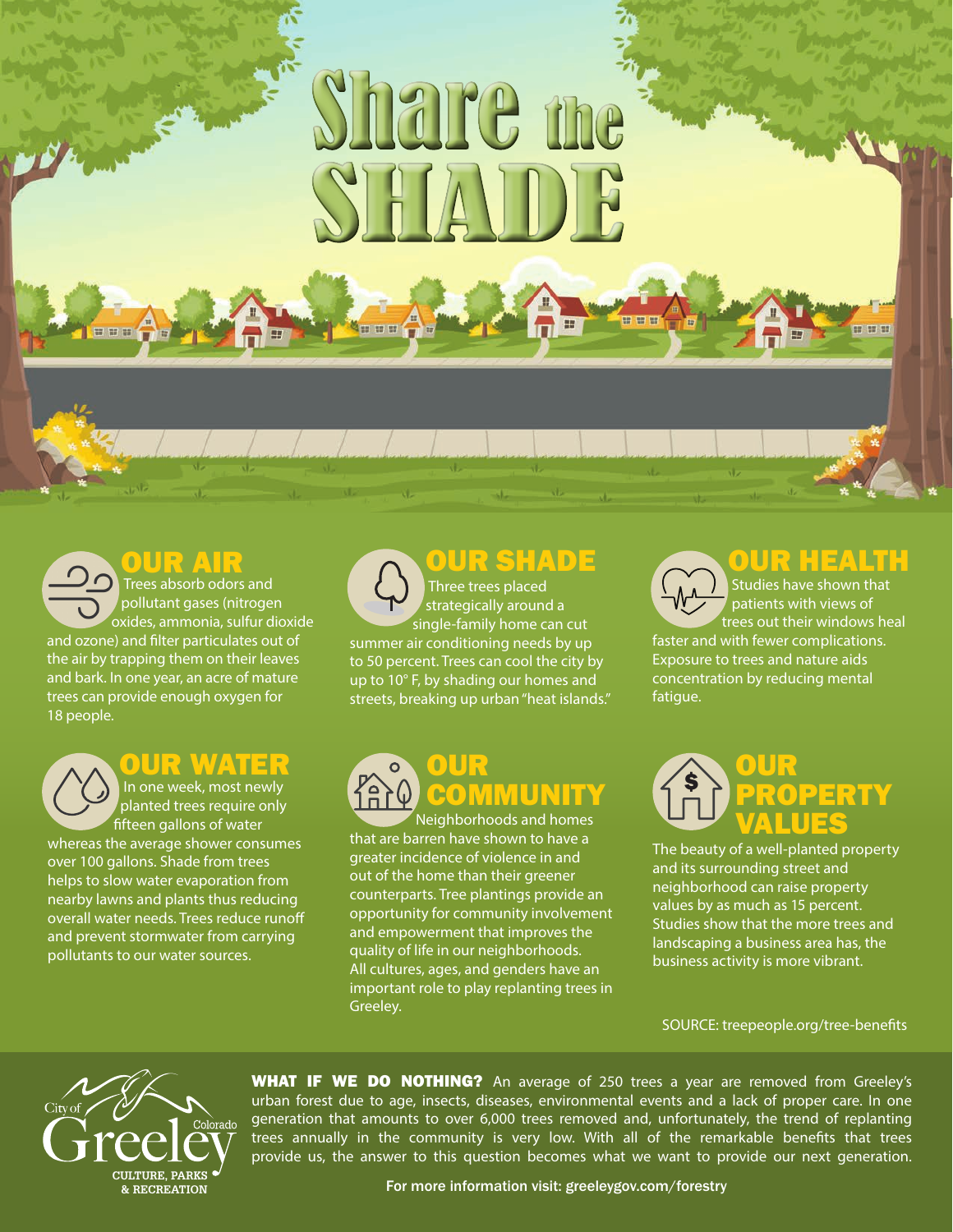## Share me SHAIDE

### **OUR AIR**

**Trees absorb odors and**  pollutant gases (nitrogen oxides, ammonia, sulfur dioxide and ozone) and filter particulates out of the air by trapping them on their leaves and bark. In one year, an acre of mature trees can provide enough oxygen for 18 people.

#### OUR WATER

 In one week, most newly planted trees require only fifteen gallons of water whereas the average shower consumes over 100 gallons. Shade from trees helps to slow water evaporation from nearby lawns and plants thus reducing overall water needs. Trees reduce runoff and prevent stormwater from carrying pollutants to our water sources.

#### Three trees placed strategically around a single-family home can cut summer air conditioning needs by up to 50 percent. Trees can cool the city by up to 10° F, by shading our homes and streets, breaking up urban "heat islands." OUR SHADE

#### Neighborhoods and homes OUR COMMUNITY

that are barren have shown to have a greater incidence of violence in and out of the home than their greener counterparts. Tree plantings provide an opportunity for community involvement and empowerment that improves the quality of life in our neighborhoods. All cultures, ages, and genders have an important role to play replanting trees in Greeley.

**HH** 

#### OUR HEALTH

 Studies have shown that patients with views of trees out their windows heal faster and with fewer complications. Exposure to trees and nature aids concentration by reducing mental fatigue.



The beauty of a well-planted property and its surrounding street and neighborhood can raise property values by as much as 15 percent. Studies show that the more trees and landscaping a business area has, the business activity is more vibrant.

SOURCE: treepeople.org/tree-benefits



WHAT IF WE DO NOTHING? An average of 250 trees a year are removed from Greeley's urban forest due to age, insects, diseases, environmental events and a lack of proper care. In one generation that amounts to over 6,000 trees removed and, unfortunately, the trend of replanting trees annually in the community is very low. With all of the remarkable benefits that trees provide us, the answer to this question becomes what we want to provide our next generation.

For more information visit: greeleygov.com/forestry